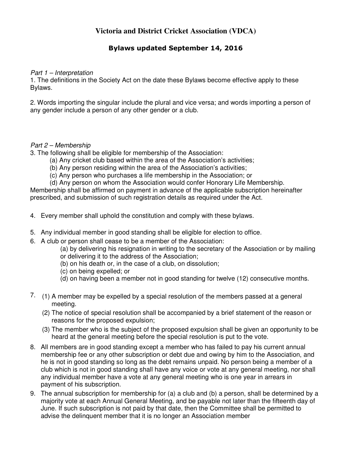# **Victoria and District Cricket Association (VDCA)**

# **Bylaws updated September 14, 2016**

#### Part 1 – Interpretation

1. The definitions in the Society Act on the date these Bylaws become effective apply to these Bylaws.

2. Words importing the singular include the plural and vice versa; and words importing a person of any gender include a person of any other gender or a club.

#### Part 2 – Membership

3. The following shall be eligible for membership of the Association:

- (a) Any cricket club based within the area of the Association's activities;
- (b) Any person residing within the area of the Association's activities;
- (c) Any person who purchases a life membership in the Association; or
- (d) Any person on whom the Association would confer Honorary Life Membership.

Membership shall be affirmed on payment in advance of the applicable subscription hereinafter prescribed, and submission of such registration details as required under the Act.

- 4. Every member shall uphold the constitution and comply with these bylaws.
- 5. Any individual member in good standing shall be eligible for election to office.
- 6. A club or person shall cease to be a member of the Association:
	- (a) by delivering his resignation in writing to the secretary of the Association or by mailing or delivering it to the address of the Association;
	- (b) on his death or, in the case of a club, on dissolution;
	- (c) on being expelled; or
	- (d) on having been a member not in good standing for twelve (12) consecutive months.
- 7. (1) A member may be expelled by a special resolution of the members passed at a general meeting.
	- (2) The notice of special resolution shall be accompanied by a brief statement of the reason or reasons for the proposed expulsion;
	- (3) The member who is the subject of the proposed expulsion shall be given an opportunity to be heard at the general meeting before the special resolution is put to the vote.
- 8. All members are in good standing except a member who has failed to pay his current annual membership fee or any other subscription or debt due and owing by him to the Association, and he is not in good standing so long as the debt remains unpaid. No person being a member of a club which is not in good standing shall have any voice or vote at any general meeting, nor shall any individual member have a vote at any general meeting who is one year in arrears in payment of his subscription.
- 9. The annual subscription for membership for (a) a club and (b) a person, shall be determined by a majority vote at each Annual General Meeting, and be payable not later than the fifteenth day of June. If such subscription is not paid by that date, then the Committee shall be permitted to advise the delinquent member that it is no longer an Association member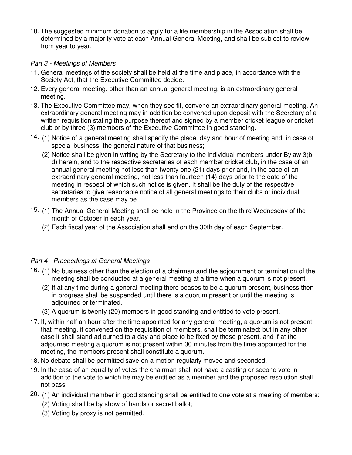10. The suggested minimum donation to apply for a life membership in the Association shall be determined by a majority vote at each Annual General Meeting, and shall be subject to review from year to year.

# Part 3 - Meetings of Members

- 11. General meetings of the society shall be held at the time and place, in accordance with the Society Act, that the Executive Committee decide.
- 12. Every general meeting, other than an annual general meeting, is an extraordinary general meeting.
- 13. The Executive Committee may, when they see fit, convene an extraordinary general meeting. An extraordinary general meeting may in addition be convened upon deposit with the Secretary of a written requisition stating the purpose thereof and signed by a member cricket league or cricket club or by three (3) members of the Executive Committee in good standing.
- 14. (1) Notice of a general meeting shall specify the place, day and hour of meeting and, in case of special business, the general nature of that business;
	- (2) Notice shall be given in writing by the Secretary to the individual members under Bylaw 3(bd) herein, and to the respective secretaries of each member cricket club, in the case of an annual general meeting not less than twenty one (21) days prior and, in the case of an extraordinary general meeting, not less than fourteen (14) days prior to the date of the meeting in respect of which such notice is given. It shall be the duty of the respective secretaries to give reasonable notice of all general meetings to their clubs or individual members as the case may be.
- 15. (1) The Annual General Meeting shall be held in the Province on the third Wednesday of the month of October in each year.
	- (2) Each fiscal year of the Association shall end on the 30th day of each September.

## Part 4 - Proceedings at General Meetings

- 16. (1) No business other than the election of a chairman and the adjournment or termination of the meeting shall be conducted at a general meeting at a time when a quorum is not present.
	- (2) If at any time during a general meeting there ceases to be a quorum present, business then in progress shall be suspended until there is a quorum present or until the meeting is adjourned or terminated.
	- (3) A quorum is twenty (20) members in good standing and entitled to vote present.
- 17. If, within half an hour after the time appointed for any general meeting, a quorum is not present, that meeting, if convened on the requisition of members, shall be terminated; but in any other case it shall stand adjourned to a day and place to be fixed by those present, and if at the adjourned meeting a quorum is not present within 30 minutes from the time appointed for the meeting, the members present shall constitute a quorum.
- 18. No debate shall be permitted save on a motion regularly moved and seconded.
- 19. In the case of an equality of votes the chairman shall not have a casting or second vote in addition to the vote to which he may be entitled as a member and the proposed resolution shall not pass.
- 20. (1) An individual member in good standing shall be entitled to one vote at a meeting of members;
	- (2) Voting shall be by show of hands or secret ballot;
	- (3) Voting by proxy is not permitted.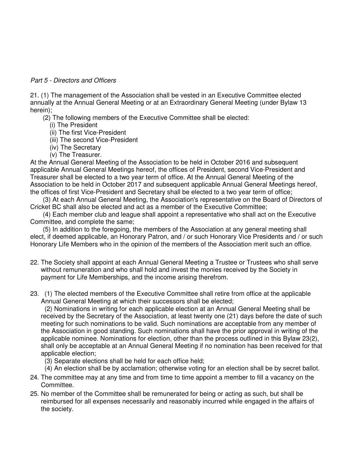### Part 5 - Directors and Officers

21. (1) The management of the Association shall be vested in an Executive Committee elected annually at the Annual General Meeting or at an Extraordinary General Meeting (under Bylaw 13 herein);

(2) The following members of the Executive Committee shall be elected:

- (i) The President
- (ii) The first Vice-President
- (iii) The second Vice-President
- (iv) The Secretary
- (v) The Treasurer.

At the Annual General Meeting of the Association to be held in October 2016 and subsequent applicable Annual General Meetings hereof, the offices of President, second Vice-President and Treasurer shall be elected to a two year term of office. At the Annual General Meeting of the Association to be held in October 2017 and subsequent applicable Annual General Meetings hereof, the offices of first Vice-President and Secretary shall be elected to a two year term of office;

 (3) At each Annual General Meeting, the Association's representative on the Board of Directors of Cricket BC shall also be elected and act as a member of the Executive Committee;

 (4) Each member club and league shall appoint a representative who shall act on the Executive Committee, and complete the same;

 (5) In addition to the foregoing, the members of the Association at any general meeting shall elect, if deemed applicable, an Honorary Patron, and / or such Honorary Vice Presidents and / or such Honorary Life Members who in the opinion of the members of the Association merit such an office.

- 22. The Society shall appoint at each Annual General Meeting a Trustee or Trustees who shall serve without remuneration and who shall hold and invest the monies received by the Society in payment for Life Memberships, and the income arising therefrom.
- 23. (1) The elected members of the Executive Committee shall retire from office at the applicable Annual General Meeting at which their successors shall be elected;

 (2) Nominations in writing for each applicable election at an Annual General Meeting shall be received by the Secretary of the Association, at least twenty one (21) days before the date of such meeting for such nominations to be valid. Such nominations are acceptable from any member of the Association in good standing. Such nominations shall have the prior approval in writing of the applicable nominee. Nominations for election, other than the process outlined in this Bylaw 23(2), shall only be acceptable at an Annual General Meeting if no nomination has been received for that applicable election;

- (3) Separate elections shall be held for each office held;
- (4) An election shall be by acclamation; otherwise voting for an election shall be by secret ballot.
- 24. The committee may at any time and from time to time appoint a member to fill a vacancy on the Committee.
- 25. No member of the Committee shall be remunerated for being or acting as such, but shall be reimbursed for all expenses necessarily and reasonably incurred while engaged in the affairs of the society.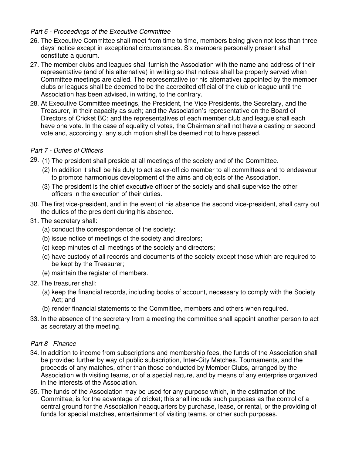## Part 6 - Proceedings of the Executive Committee

- 26. The Executive Committee shall meet from time to time, members being given not less than three days' notice except in exceptional circumstances. Six members personally present shall constitute a quorum.
- 27. The member clubs and leagues shall furnish the Association with the name and address of their representative (and of his alternative) in writing so that notices shall be properly served when Committee meetings are called. The representative (or his alternative) appointed by the member clubs or leagues shall be deemed to be the accredited official of the club or league until the Association has been advised, in writing, to the contrary.
- 28. At Executive Committee meetings, the President, the Vice Presidents, the Secretary, and the Treasurer, in their capacity as such; and the Association's representative on the Board of Directors of Cricket BC; and the representatives of each member club and league shall each have one vote. In the case of equality of votes, the Chairman shall not have a casting or second vote and, accordingly, any such motion shall be deemed not to have passed.

#### Part 7 - Duties of Officers

- 29. (1) The president shall preside at all meetings of the society and of the Committee.
	- (2) In addition it shall be his duty to act as ex-officio member to all committees and to endeavour to promote harmonious development of the aims and objects of the Association.
	- (3) The president is the chief executive officer of the society and shall supervise the other officers in the execution of their duties.
- 30. The first vice-president, and in the event of his absence the second vice-president, shall carry out the duties of the president during his absence.
- 31. The secretary shall:
	- (a) conduct the correspondence of the society;
	- (b) issue notice of meetings of the society and directors;
	- (c) keep minutes of all meetings of the society and directors;
	- (d) have custody of all records and documents of the society except those which are required to be kept by the Treasurer;
	- (e) maintain the register of members.
- 32. The treasurer shall:
	- (a) keep the financial records, including books of account, necessary to comply with the Society Act; and
	- (b) render financial statements to the Committee, members and others when required.
- 33. In the absence of the secretary from a meeting the committee shall appoint another person to act as secretary at the meeting.

#### Part 8 –Finance

- 34. In addition to income from subscriptions and membership fees, the funds of the Association shall be provided further by way of public subscription, Inter-City Matches, Tournaments, and the proceeds of any matches, other than those conducted by Member Clubs, arranged by the Association with visiting teams, or of a special nature, and by means of any enterprise organized in the interests of the Association.
- 35. The funds of the Association may be used for any purpose which, in the estimation of the Committee, is for the advantage of cricket; this shall include such purposes as the control of a central ground for the Association headquarters by purchase, lease, or rental, or the providing of funds for special matches, entertainment of visiting teams, or other such purposes.